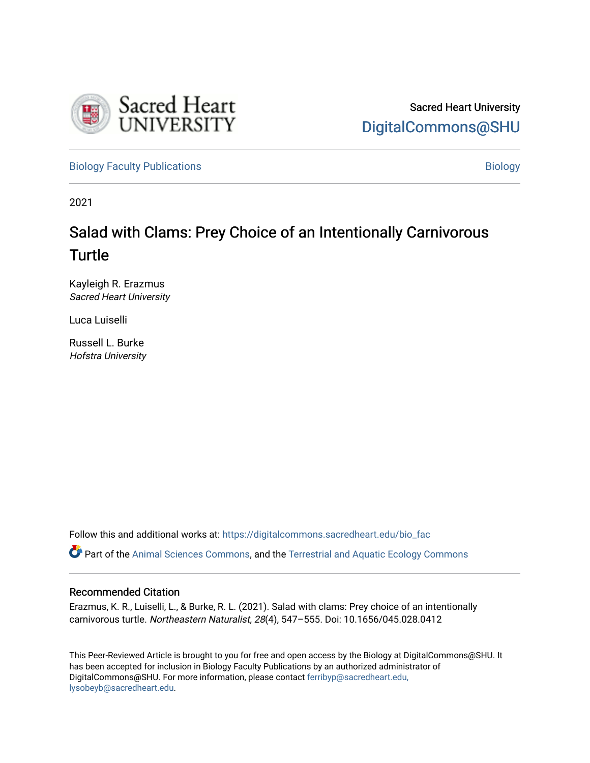

[Biology Faculty Publications](https://digitalcommons.sacredheart.edu/bio_fac) and the state of the state of the [Biology](https://digitalcommons.sacredheart.edu/bio) Biology

2021

# Salad with Clams: Prey Choice of an Intentionally Carnivorous Turtle

Kayleigh R. Erazmus Sacred Heart University

Luca Luiselli

Russell L. Burke Hofstra University

Follow this and additional works at: [https://digitalcommons.sacredheart.edu/bio\\_fac](https://digitalcommons.sacredheart.edu/bio_fac?utm_source=digitalcommons.sacredheart.edu%2Fbio_fac%2F165&utm_medium=PDF&utm_campaign=PDFCoverPages) 

Part of the [Animal Sciences Commons,](http://network.bepress.com/hgg/discipline/76?utm_source=digitalcommons.sacredheart.edu%2Fbio_fac%2F165&utm_medium=PDF&utm_campaign=PDFCoverPages) and the [Terrestrial and Aquatic Ecology Commons](http://network.bepress.com/hgg/discipline/20?utm_source=digitalcommons.sacredheart.edu%2Fbio_fac%2F165&utm_medium=PDF&utm_campaign=PDFCoverPages)

## Recommended Citation

Erazmus, K. R., Luiselli, L., & Burke, R. L. (2021). Salad with clams: Prey choice of an intentionally carnivorous turtle. Northeastern Naturalist, 28(4), 547–555. Doi: 10.1656/045.028.0412

This Peer-Reviewed Article is brought to you for free and open access by the Biology at DigitalCommons@SHU. It has been accepted for inclusion in Biology Faculty Publications by an authorized administrator of DigitalCommons@SHU. For more information, please contact [ferribyp@sacredheart.edu,](mailto:ferribyp@sacredheart.edu,%20lysobeyb@sacredheart.edu) [lysobeyb@sacredheart.edu](mailto:ferribyp@sacredheart.edu,%20lysobeyb@sacredheart.edu).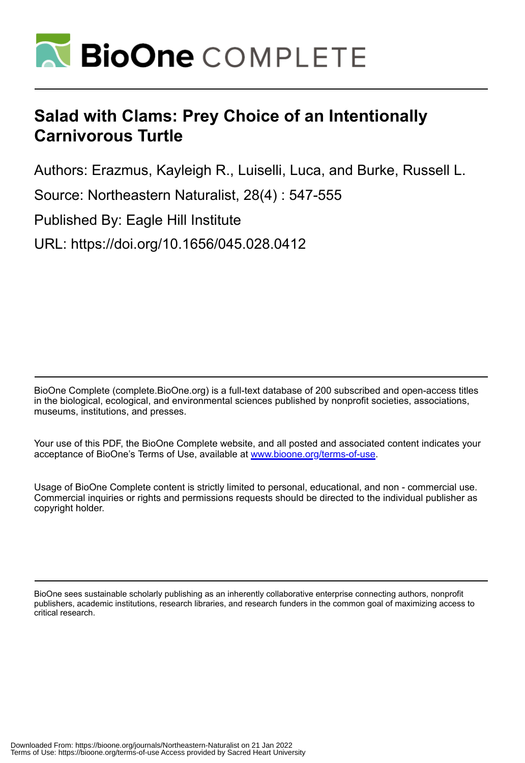

# **Salad with Clams: Prey Choice of an Intentionally Carnivorous Turtle**

Authors: Erazmus, Kayleigh R., Luiselli, Luca, and Burke, Russell L.

Source: Northeastern Naturalist, 28(4) : 547-555

Published By: Eagle Hill Institute

URL: https://doi.org/10.1656/045.028.0412

BioOne Complete (complete.BioOne.org) is a full-text database of 200 subscribed and open-access titles in the biological, ecological, and environmental sciences published by nonprofit societies, associations, museums, institutions, and presses.

Your use of this PDF, the BioOne Complete website, and all posted and associated content indicates your acceptance of BioOne's Terms of Use, available at www.bioone.org/terms-of-use.

Usage of BioOne Complete content is strictly limited to personal, educational, and non - commercial use. Commercial inquiries or rights and permissions requests should be directed to the individual publisher as copyright holder.

BioOne sees sustainable scholarly publishing as an inherently collaborative enterprise connecting authors, nonprofit publishers, academic institutions, research libraries, and research funders in the common goal of maximizing access to critical research.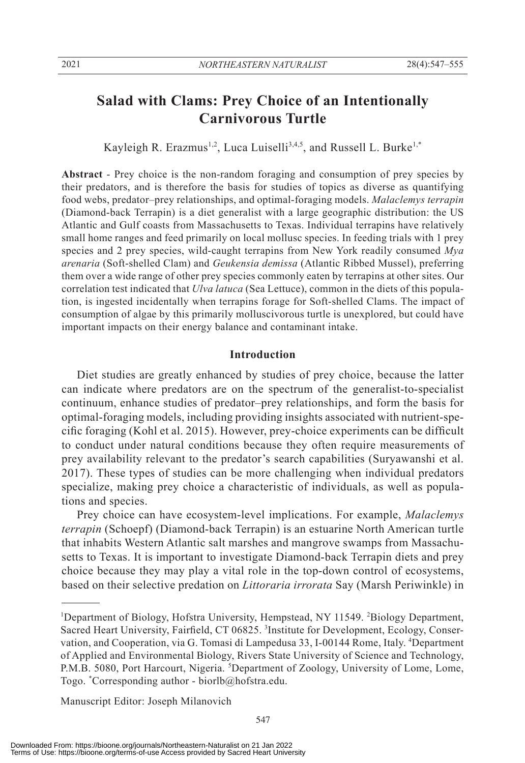# **Salad with Clams: Prey Choice of an Intentionally Carnivorous Turtle**

Kayleigh R. Erazmus<sup>1,2</sup>, Luca Luiselli<sup>3,4,5</sup>, and Russell L. Burke<sup>1,\*</sup>

**Abstract** - Prey choice is the non-random foraging and consumption of prey species by their predators, and is therefore the basis for studies of topics as diverse as quantifying food webs, predator–prey relationships, and optimal-foraging models. *Malaclemys terrapin* (Diamond-back Terrapin) is a diet generalist with a large geographic distribution: the US Atlantic and Gulf coasts from Massachusetts to Texas. Individual terrapins have relatively small home ranges and feed primarily on local mollusc species. In feeding trials with 1 prey species and 2 prey species, wild-caught terrapins from New York readily consumed *Mya arenaria* (Soft-shelled Clam) and *Geukensia demissa* (Atlantic Ribbed Mussel), preferring them over a wide range of other prey species commonly eaten by terrapins at other sites. Our correlation test indicated that *Ulva latuca* (Sea Lettuce), common in the diets of this population, is ingested incidentally when terrapins forage for Soft-shelled Clams. The impact of consumption of algae by this primarily molluscivorous turtle is unexplored, but could have important impacts on their energy balance and contaminant intake.

### **Introduction**

 Diet studies are greatly enhanced by studies of prey choice, because the latter can indicate where predators are on the spectrum of the generalist-to-specialist continuum, enhance studies of predator–prey relationships, and form the basis for optimal-foraging models, including providing insights associated with nutrient-specific foraging (Kohl et al. 2015). However, prey-choice experiments can be difficult to conduct under natural conditions because they often require measurements of prey availability relevant to the predator's search capabilities (Suryawanshi et al. 2017). These types of studies can be more challenging when individual predators specialize, making prey choice a characteristic of individuals, as well as populations and species.

 Prey choice can have ecosystem-level implications. For example, *Malaclemys terrapin* (Schoepf) (Diamond-back Terrapin) is an estuarine North American turtle that inhabits Western Atlantic salt marshes and mangrove swamps from Massachusetts to Texas. It is important to investigate Diamond-back Terrapin diets and prey choice because they may play a vital role in the top-down control of ecosystems, based on their selective predation on *Littoraria irrorata* Say (Marsh Periwinkle) in

Manuscript Editor: Joseph Milanovich

<sup>&</sup>lt;sup>1</sup>Department of Biology, Hofstra University, Hempstead, NY 11549. <sup>2</sup>Biology Department, Sacred Heart University, Fairfield, CT 06825. <sup>3</sup>Institute for Development, Ecology, Conservation, and Cooperation, via G. Tomasi di Lampedusa 33, I-00144 Rome, Italy. <sup>4</sup>Department of Applied and Environmental Biology, Rivers State University of Science and Technology, P.M.B. 5080, Port Harcourt, Nigeria. <sup>5</sup>Department of Zoology, University of Lome, Lome, Togo. \* Corresponding author - biorlb@hofstra.edu.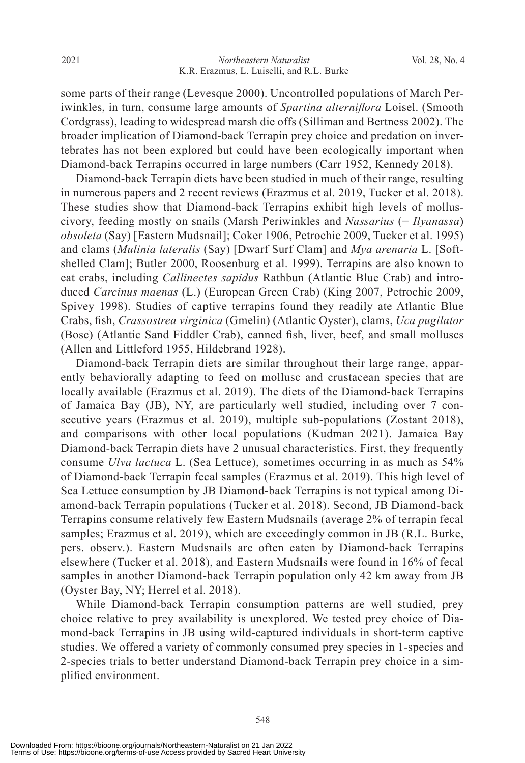some parts of their range (Levesque 2000). Uncontrolled populations of March Periwinkles, in turn, consume large amounts of *Spartina alterniflora* Loisel. (Smooth Cordgrass), leading to widespread marsh die offs (Silliman and Bertness 2002). The broader implication of Diamond-back Terrapin prey choice and predation on invertebrates has not been explored but could have been ecologically important when Diamond-back Terrapins occurred in large numbers (Carr 1952, Kennedy 2018).

 Diamond-back Terrapin diets have been studied in much of their range, resulting in numerous papers and 2 recent reviews (Erazmus et al. 2019, Tucker et al. 2018). These studies show that Diamond-back Terrapins exhibit high levels of molluscivory, feeding mostly on snails (Marsh Periwinkles and *Nassarius* (= *Ilyanassa*) *obsoleta* (Say) [Eastern Mudsnail]; Coker 1906, Petrochic 2009, Tucker et al. 1995) and clams (*Mulinia lateralis* (Say) [Dwarf Surf Clam] and *Mya arenaria* L. [Softshelled Clam]; Butler 2000, Roosenburg et al. 1999). Terrapins are also known to eat crabs, including *Callinectes sapidus* Rathbun (Atlantic Blue Crab) and introduced *Carcinus maenas* (L.) (European Green Crab) (King 2007, Petrochic 2009, Spivey 1998). Studies of captive terrapins found they readily ate Atlantic Blue Crabs, fish, *Crassostrea virginica* (Gmelin) (Atlantic Oyster), clams, *Uca pugilator* (Bosc) (Atlantic Sand Fiddler Crab), canned fish, liver, beef, and small molluscs (Allen and Littleford 1955, Hildebrand 1928).

 Diamond-back Terrapin diets are similar throughout their large range, apparently behaviorally adapting to feed on mollusc and crustacean species that are locally available (Erazmus et al. 2019). The diets of the Diamond-back Terrapins of Jamaica Bay (JB), NY, are particularly well studied, including over 7 consecutive years (Erazmus et al. 2019), multiple sub-populations (Zostant 2018), and comparisons with other local populations (Kudman 2021). Jamaica Bay Diamond-back Terrapin diets have 2 unusual characteristics. First, they frequently consume *Ulva lactuca* L. (Sea Lettuce), sometimes occurring in as much as 54% of Diamond-back Terrapin fecal samples (Erazmus et al. 2019). This high level of Sea Lettuce consumption by JB Diamond-back Terrapins is not typical among Diamond-back Terrapin populations (Tucker et al. 2018). Second, JB Diamond-back Terrapins consume relatively few Eastern Mudsnails (average 2% of terrapin fecal samples; Erazmus et al. 2019), which are exceedingly common in JB (R.L. Burke, pers. observ.). Eastern Mudsnails are often eaten by Diamond-back Terrapins elsewhere (Tucker et al. 2018), and Eastern Mudsnails were found in 16% of fecal samples in another Diamond-back Terrapin population only 42 km away from JB (Oyster Bay, NY; Herrel et al. 2018).

 While Diamond-back Terrapin consumption patterns are well studied, prey choice relative to prey availability is unexplored. We tested prey choice of Diamond-back Terrapins in JB using wild-captured individuals in short-term captive studies. We offered a variety of commonly consumed prey species in 1-species and 2-species trials to better understand Diamond-back Terrapin prey choice in a simplified environment.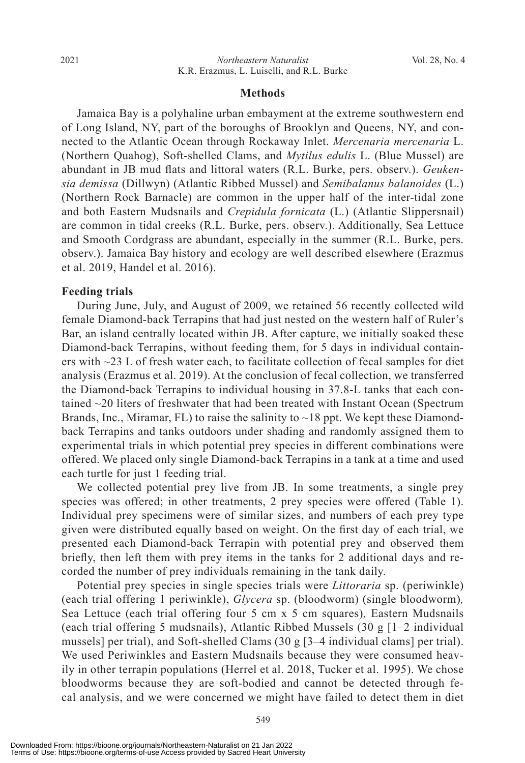#### **Methods**

 Jamaica Bay is a polyhaline urban embayment at the extreme southwestern end of Long Island, NY, part of the boroughs of Brooklyn and Queens, NY, and connected to the Atlantic Ocean through Rockaway Inlet. *Mercenaria mercenaria* L. (Northern Quahog), Soft-shelled Clams, and *Mytilus edulis* L. (Blue Mussel) are abundant in JB mud flats and littoral waters (R.L. Burke, pers. observ.). *Geukensia demissa* (Dillwyn) (Atlantic Ribbed Mussel) and *Semibalanus balanoides* (L.) (Northern Rock Barnacle) are common in the upper half of the inter-tidal zone and both Eastern Mudsnails and *Crepidula fornicata* (L.) (Atlantic Slippersnail) are common in tidal creeks (R.L. Burke, pers. observ.). Additionally, Sea Lettuce and Smooth Cordgrass are abundant, especially in the summer (R.L. Burke, pers. observ.). Jamaica Bay history and ecology are well described elsewhere (Erazmus et al. 2019, Handel et al. 2016).

#### **Feeding trials**

 During June, July, and August of 2009, we retained 56 recently collected wild female Diamond-back Terrapins that had just nested on the western half of Ruler's Bar, an island centrally located within JB. After capture, we initially soaked these Diamond-back Terrapins, without feeding them, for 5 days in individual containers with  $\sim$ 23 L of fresh water each, to facilitate collection of fecal samples for diet analysis (Erazmus et al. 2019). At the conclusion of fecal collection, we transferred the Diamond-back Terrapins to individual housing in 37.8-L tanks that each contained ~20 liters of freshwater that had been treated with Instant Ocean (Spectrum Brands, Inc., Miramar, FL) to raise the salinity to  $\sim$  18 ppt. We kept these Diamondback Terrapins and tanks outdoors under shading and randomly assigned them to experimental trials in which potential prey species in different combinations were offered. We placed only single Diamond-back Terrapins in a tank at a time and used each turtle for just 1 feeding trial.

 We collected potential prey live from JB. In some treatments, a single prey species was offered; in other treatments, 2 prey species were offered (Table 1). Individual prey specimens were of similar sizes, and numbers of each prey type given were distributed equally based on weight. On the first day of each trial, we presented each Diamond-back Terrapin with potential prey and observed them briefly, then left them with prey items in the tanks for 2 additional days and recorded the number of prey individuals remaining in the tank daily.

 Potential prey species in single species trials were *Littoraria* sp. (periwinkle) (each trial offering 1 periwinkle), *Glycera* sp. (bloodworm) (single bloodworm)*,*  Sea Lettuce (each trial offering four 5 cm x 5 cm squares)*,* Eastern Mudsnails (each trial offering 5 mudsnails), Atlantic Ribbed Mussels (30 g [1–2 individual mussels] per trial), and Soft-shelled Clams (30 g [3–4 individual clams] per trial). We used Periwinkles and Eastern Mudsnails because they were consumed heavily in other terrapin populations (Herrel et al. 2018, Tucker et al. 1995). We chose bloodworms because they are soft-bodied and cannot be detected through fecal analysis, and we were concerned we might have failed to detect them in diet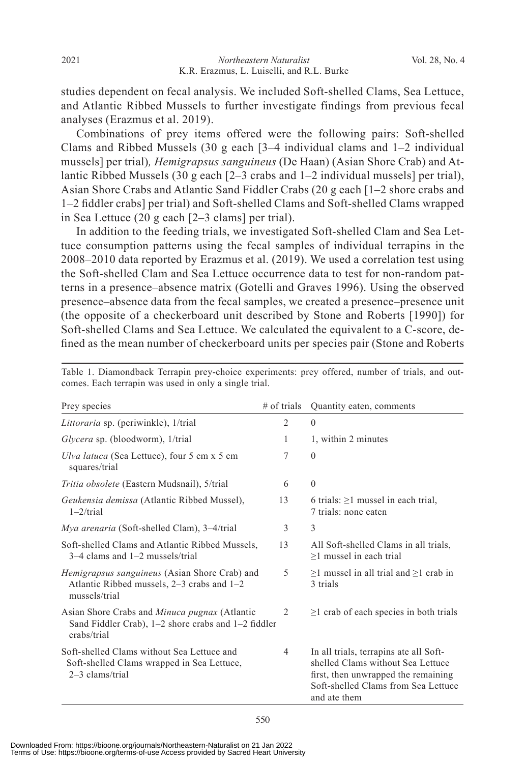studies dependent on fecal analysis. We included Soft-shelled Clams, Sea Lettuce, and Atlantic Ribbed Mussels to further investigate findings from previous fecal analyses (Erazmus et al. 2019).

 Combinations of prey items offered were the following pairs: Soft-shelled Clams and Ribbed Mussels (30 g each  $\lceil 3-4 \rceil$  individual clams and  $\lceil -2 \rceil$  individual mussels] per trial)*, Hemigrapsus sanguineus* (De Haan) (Asian Shore Crab) and Atlantic Ribbed Mussels (30 g each [2–3 crabs and 1–2 individual mussels] per trial), Asian Shore Crabs and Atlantic Sand Fiddler Crabs (20 g each [1–2 shore crabs and 1–2 fiddler crabs] per trial) and Soft-shelled Clams and Soft-shelled Clams wrapped in Sea Lettuce (20 g each [2–3 clams] per trial).

 In addition to the feeding trials, we investigated Soft-shelled Clam and Sea Lettuce consumption patterns using the fecal samples of individual terrapins in the 2008–2010 data reported by Erazmus et al. (2019). We used a correlation test using the Soft-shelled Clam and Sea Lettuce occurrence data to test for non-random patterns in a presence–absence matrix (Gotelli and Graves 1996). Using the observed presence–absence data from the fecal samples, we created a presence–presence unit (the opposite of a checkerboard unit described by Stone and Roberts [1990]) for Soft-shelled Clams and Sea Lettuce. We calculated the equivalent to a C-score, defined as the mean number of checkerboard units per species pair (Stone and Roberts

| Prey species                                                                                                               | $#$ of trials  | Quantity eaten, comments                                                                                                                                                  |
|----------------------------------------------------------------------------------------------------------------------------|----------------|---------------------------------------------------------------------------------------------------------------------------------------------------------------------------|
| Littoraria sp. (periwinkle), 1/trial                                                                                       | $\overline{2}$ | $\theta$                                                                                                                                                                  |
| Glycera sp. (bloodworm), 1/trial                                                                                           | 1              | 1, within 2 minutes                                                                                                                                                       |
| Ulva latuca (Sea Lettuce), four 5 cm x 5 cm<br>squares/trial                                                               | 7              | $\theta$                                                                                                                                                                  |
| Tritia obsolete (Eastern Mudsnail), 5/trial                                                                                | 6              | $\theta$                                                                                                                                                                  |
| Geukensia demissa (Atlantic Ribbed Mussel),<br>$1-2$ /trial                                                                | 13             | 6 trials: $\geq$ 1 mussel in each trial,<br>7 trials: none eaten                                                                                                          |
| <i>Mya arenaria</i> (Soft-shelled Clam), 3–4/trial                                                                         | 3              | 3                                                                                                                                                                         |
| Soft-shelled Clams and Atlantic Ribbed Mussels,<br>$3-4$ clams and $1-2$ mussels/trial                                     | 13             | All Soft-shelled Clams in all trials,<br>$\geq$ 1 mussel in each trial                                                                                                    |
| <i>Hemigrapsus sanguineus</i> (Asian Shore Crab) and<br>Atlantic Ribbed mussels, $2-3$ crabs and $1-2$<br>mussels/trial    | 5              | $\geq$ 1 mussel in all trial and $\geq$ 1 crab in<br>3 trials                                                                                                             |
| Asian Shore Crabs and <i>Minuca pugnax</i> (Atlantic<br>Sand Fiddler Crab), 1-2 shore crabs and 1-2 fiddler<br>crabs/trial | 2              | $\geq$ 1 crab of each species in both trials                                                                                                                              |
| Soft-shelled Clams without Sea Lettuce and<br>Soft-shelled Clams wrapped in Sea Lettuce,<br>2-3 clams/trial                | 4              | In all trials, terrapins ate all Soft-<br>shelled Clams without Sea Lettuce<br>first, then unwrapped the remaining<br>Soft-shelled Clams from Sea Lettuce<br>and ate them |

Table 1. Diamondback Terrapin prey-choice experiments: prey offered, number of trials, and outcomes. Each terrapin was used in only a single trial.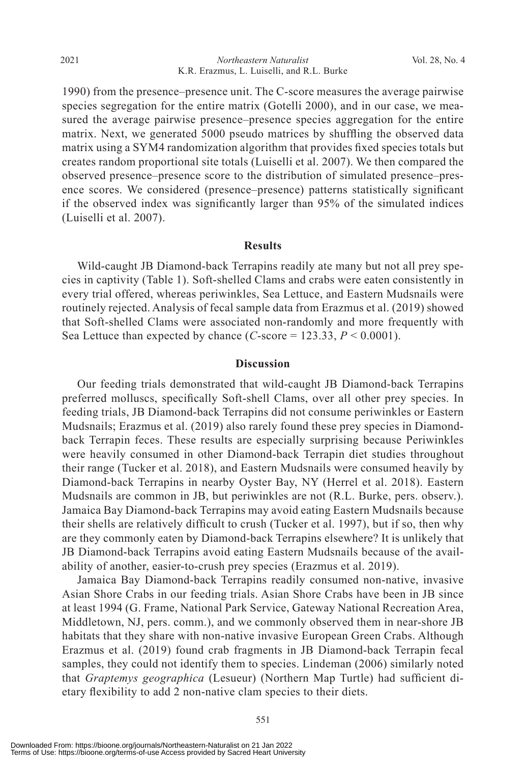1990) from the presence–presence unit. The C-score measures the average pairwise species segregation for the entire matrix (Gotelli 2000), and in our case, we measured the average pairwise presence–presence species aggregation for the entire matrix. Next, we generated 5000 pseudo matrices by shuffling the observed data matrix using a SYM4 randomization algorithm that provides fixed species totals but creates random proportional site totals (Luiselli et al. 2007). We then compared the observed presence–presence score to the distribution of simulated presence–presence scores. We considered (presence–presence) patterns statistically significant if the observed index was significantly larger than 95% of the simulated indices (Luiselli et al. 2007).

#### **Results**

 Wild-caught JB Diamond-back Terrapins readily ate many but not all prey species in captivity (Table 1). Soft-shelled Clams and crabs were eaten consistently in every trial offered, whereas periwinkles, Sea Lettuce, and Eastern Mudsnails were routinely rejected. Analysis of fecal sample data from Erazmus et al. (2019) showed that Soft-shelled Clams were associated non-randomly and more frequently with Sea Lettuce than expected by chance  $(C\text{-score} = 123.33, P \le 0.0001)$ .

### **Discussion**

 Our feeding trials demonstrated that wild-caught JB Diamond-back Terrapins preferred molluscs, specifically Soft-shell Clams, over all other prey species. In feeding trials, JB Diamond-back Terrapins did not consume periwinkles or Eastern Mudsnails; Erazmus et al. (2019) also rarely found these prey species in Diamondback Terrapin feces. These results are especially surprising because Periwinkles were heavily consumed in other Diamond-back Terrapin diet studies throughout their range (Tucker et al. 2018), and Eastern Mudsnails were consumed heavily by Diamond-back Terrapins in nearby Oyster Bay, NY (Herrel et al. 2018). Eastern Mudsnails are common in JB, but periwinkles are not (R.L. Burke, pers. observ.). Jamaica Bay Diamond-back Terrapins may avoid eating Eastern Mudsnails because their shells are relatively difficult to crush (Tucker et al. 1997), but if so, then why are they commonly eaten by Diamond-back Terrapins elsewhere? It is unlikely that JB Diamond-back Terrapins avoid eating Eastern Mudsnails because of the availability of another, easier-to-crush prey species (Erazmus et al. 2019).

 Jamaica Bay Diamond-back Terrapins readily consumed non-native, invasive Asian Shore Crabs in our feeding trials. Asian Shore Crabs have been in JB since at least 1994 (G. Frame, National Park Service, Gateway National Recreation Area, Middletown, NJ, pers. comm.), and we commonly observed them in near-shore JB habitats that they share with non-native invasive European Green Crabs. Although Erazmus et al. (2019) found crab fragments in JB Diamond-back Terrapin fecal samples, they could not identify them to species. Lindeman (2006) similarly noted that *Graptemys geographica* (Lesueur) (Northern Map Turtle) had sufficient dietary flexibility to add 2 non-native clam species to their diets.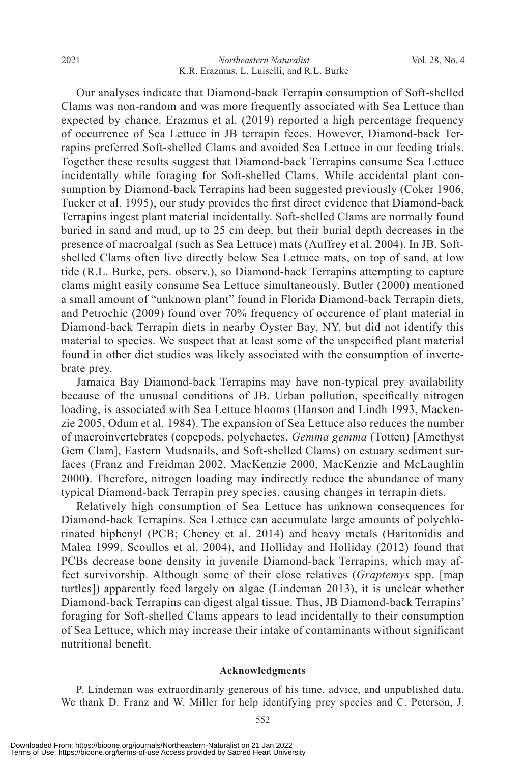#### *Northeastern Naturalist* 2021 Vol. 28, No. 4 K.R. Erazmus, L. Luiselli, and R.L. Burke

 Our analyses indicate that Diamond-back Terrapin consumption of Soft-shelled Clams was non-random and was more frequently associated with Sea Lettuce than expected by chance. Erazmus et al. (2019) reported a high percentage frequency of occurrence of Sea Lettuce in JB terrapin feces. However, Diamond-back Terrapins preferred Soft-shelled Clams and avoided Sea Lettuce in our feeding trials. Together these results suggest that Diamond-back Terrapins consume Sea Lettuce incidentally while foraging for Soft-shelled Clams. While accidental plant consumption by Diamond-back Terrapins had been suggested previously (Coker 1906, Tucker et al. 1995), our study provides the first direct evidence that Diamond-back Terrapins ingest plant material incidentally. Soft-shelled Clams are normally found buried in sand and mud, up to 25 cm deep. but their burial depth decreases in the presence of macroalgal (such as Sea Lettuce) mats (Auffrey et al. 2004). In JB, Softshelled Clams often live directly below Sea Lettuce mats, on top of sand, at low tide (R.L. Burke, pers. observ.), so Diamond-back Terrapins attempting to capture clams might easily consume Sea Lettuce simultaneously. Butler (2000) mentioned a small amount of "unknown plant" found in Florida Diamond-back Terrapin diets, and Petrochic (2009) found over 70% frequency of occurence of plant material in Diamond-back Terrapin diets in nearby Oyster Bay, NY, but did not identify this material to species. We suspect that at least some of the unspecified plant material found in other diet studies was likely associated with the consumption of invertebrate prey.

 Jamaica Bay Diamond-back Terrapins may have non-typical prey availability because of the unusual conditions of JB. Urban pollution, specifically nitrogen loading, is associated with Sea Lettuce blooms (Hanson and Lindh 1993, Mackenzie 2005, Odum et al. 1984). The expansion of Sea Lettuce also reduces the number of macroinvertebrates (copepods, polychaetes, *Gemma gemma* (Totten) [Amethyst Gem Clam], Eastern Mudsnails, and Soft-shelled Clams) on estuary sediment surfaces (Franz and Freidman 2002, MacKenzie 2000, MacKenzie and McLaughlin 2000). Therefore, nitrogen loading may indirectly reduce the abundance of many typical Diamond-back Terrapin prey species, causing changes in terrapin diets.

 Relatively high consumption of Sea Lettuce has unknown consequences for Diamond-back Terrapins. Sea Lettuce can accumulate large amounts of polychlorinated biphenyl (PCB; Cheney et al. 2014) and heavy metals (Haritonidis and Malea 1999, Scoullos et al. 2004), and Holliday and Holliday (2012) found that PCBs decrease bone density in juvenile Diamond-back Terrapins, which may affect survivorship. Although some of their close relatives (*Graptemys* spp. [map turtles]) apparently feed largely on algae (Lindeman 2013), it is unclear whether Diamond-back Terrapins can digest algal tissue. Thus, JB Diamond-back Terrapins' foraging for Soft-shelled Clams appears to lead incidentally to their consumption of Sea Lettuce, which may increase their intake of contaminants without significant nutritional benefit.

#### **Acknowledgments**

 P. Lindeman was extraordinarily generous of his time, advice, and unpublished data. We thank D. Franz and W. Miller for help identifying prey species and C. Peterson, J.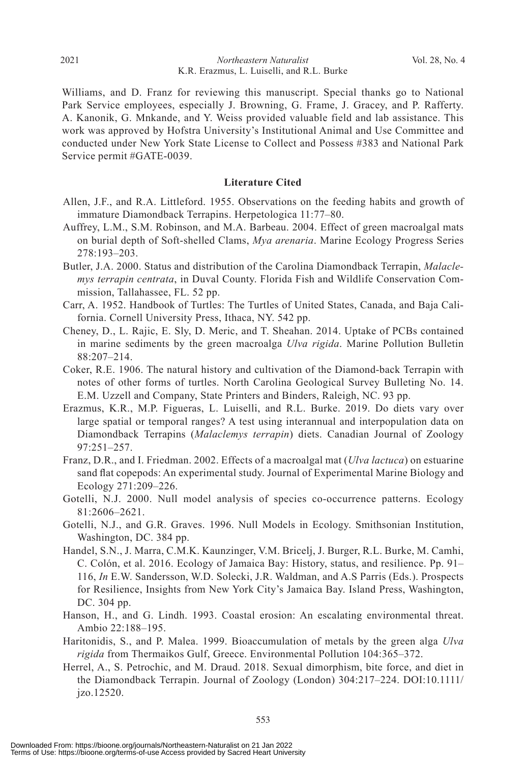#### *Northeastern Naturalist* Vol. 28, No. 4 K.R. Erazmus, L. Luiselli, and R.L. Burke

Williams, and D. Franz for reviewing this manuscript. Special thanks go to National Park Service employees, especially J. Browning, G. Frame, J. Gracey, and P. Rafferty. A. Kanonik, G. Mnkande, and Y. Weiss provided valuable field and lab assistance. This work was approved by Hofstra University's Institutional Animal and Use Committee and conducted under New York State License to Collect and Possess #383 and National Park Service permit #GATE-0039.

#### **Literature Cited**

- Allen, J.F., and R.A. Littleford. 1955. Observations on the feeding habits and growth of immature Diamondback Terrapins. Herpetologica 11:77–80.
- Auffrey, L.M., S.M. Robinson, and M.A. Barbeau. 2004. Effect of green macroalgal mats on burial depth of Soft-shelled Clams, *Mya arenaria*. Marine Ecology Progress Series 278:193–203.
- Butler, J.A. 2000. Status and distribution of the Carolina Diamondback Terrapin, *Malaclemys terrapin centrata*, in Duval County. Florida Fish and Wildlife Conservation Commission, Tallahassee, FL. 52 pp.
- Carr, A. 1952. Handbook of Turtles: The Turtles of United States, Canada, and Baja California. Cornell University Press, Ithaca, NY. 542 pp.
- Cheney, D., L. Rajic, E. Sly, D. Meric, and T. Sheahan. 2014. Uptake of PCBs contained in marine sediments by the green macroalga *Ulva rigida*. Marine Pollution Bulletin 88:207–214.
- Coker, R.E. 1906. The natural history and cultivation of the Diamond-back Terrapin with notes of other forms of turtles. North Carolina Geological Survey Bulleting No. 14. E.M. Uzzell and Company, State Printers and Binders, Raleigh, NC. 93 pp.
- Erazmus, K.R., M.P. Figueras, L. Luiselli, and R.L. Burke. 2019. Do diets vary over large spatial or temporal ranges? A test using interannual and interpopulation data on Diamondback Terrapins (*Malaclemys terrapin*) diets. Canadian Journal of Zoology 97:251–257.
- Franz, D.R., and I. Friedman. 2002. Effects of a macroalgal mat (*Ulva lactuca*) on estuarine sand flat copepods: An experimental study. Journal of Experimental Marine Biology and Ecology 271:209–226.
- Gotelli, N.J. 2000. Null model analysis of species co-occurrence patterns. Ecology 81:2606–2621.
- Gotelli, N.J., and G.R. Graves. 1996. Null Models in Ecology. Smithsonian Institution, Washington, DC. 384 pp.
- Handel, S.N., J. Marra, C.M.K. Kaunzinger, V.M. Bricelj, J. Burger, R.L. Burke, M. Camhi, C. Colón, et al. 2016. Ecology of Jamaica Bay: History, status, and resilience. Pp. 91– 116, *In* E.W. Sandersson, W.D. Solecki, J.R. Waldman, and A.S Parris (Eds.). Prospects for Resilience, Insights from New York City's Jamaica Bay. Island Press, Washington, DC. 304 pp.
- Hanson, H., and G. Lindh. 1993. Coastal erosion: An escalating environmental threat. Ambio 22:188–195.
- Haritonidis, S., and P. Malea. 1999. Bioaccumulation of metals by the green alga *Ulva rigida* from Thermaikos Gulf, Greece. Environmental Pollution 104:365–372.
- Herrel, A., S. Petrochic, and M. Draud. 2018. Sexual dimorphism, bite force, and diet in the Diamondback Terrapin. Journal of Zoology (London) 304:217–224. DOI:10.1111/ jzo.12520.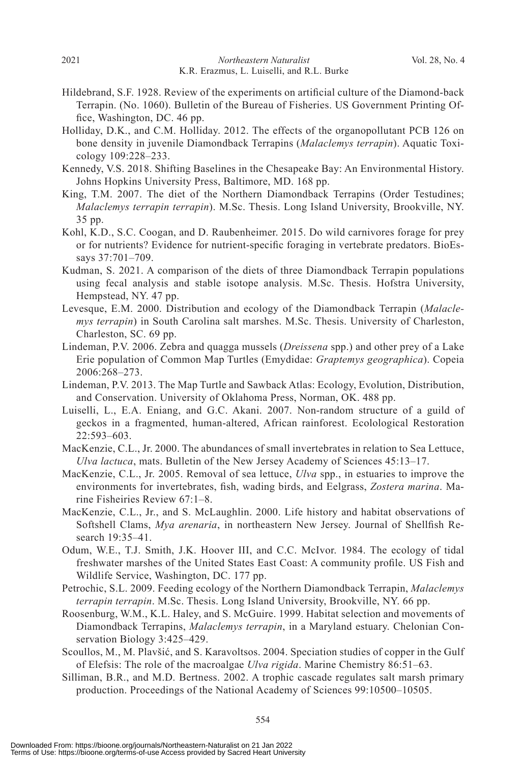- Hildebrand, S.F. 1928. Review of the experiments on artificial culture of the Diamond-back Terrapin. (No. 1060). Bulletin of the Bureau of Fisheries. US Government Printing Office, Washington, DC. 46 pp.
- Holliday, D.K., and C.M. Holliday. 2012. The effects of the organopollutant PCB 126 on bone density in juvenile Diamondback Terrapins (*Malaclemys terrapin*). Aquatic Toxicology 109:228–233.
- Kennedy, V.S. 2018. Shifting Baselines in the Chesapeake Bay: An Environmental History. Johns Hopkins University Press, Baltimore, MD. 168 pp.
- King, T.M. 2007. The diet of the Northern Diamondback Terrapins (Order Testudines; *Malaclemys terrapin terrapin*). M.Sc. Thesis. Long Island University, Brookville, NY. 35 pp.
- Kohl, K.D., S.C. Coogan, and D. Raubenheimer. 2015. Do wild carnivores forage for prey or for nutrients? Evidence for nutrient-specific foraging in vertebrate predators. BioEssays 37:701–709.
- Kudman, S. 2021. A comparison of the diets of three Diamondback Terrapin populations using fecal analysis and stable isotope analysis. M.Sc. Thesis. Hofstra University, Hempstead, NY. 47 pp.
- Levesque, E.M. 2000. Distribution and ecology of the Diamondback Terrapin (*Malaclemys terrapin*) in South Carolina salt marshes. M.Sc. Thesis. University of Charleston, Charleston, SC. 69 pp.
- Lindeman, P.V. 2006. Zebra and quagga mussels (*Dreissena* spp.) and other prey of a Lake Erie population of Common Map Turtles (Emydidae: *Graptemys geographica*). Copeia 2006:268–273.
- Lindeman, P.V. 2013. The Map Turtle and Sawback Atlas: Ecology, Evolution, Distribution, and Conservation. University of Oklahoma Press, Norman, OK. 488 pp.
- Luiselli, L., E.A. Eniang, and G.C. Akani. 2007. Non-random structure of a guild of geckos in a fragmented, human-altered, African rainforest. Ecolological Restoration 22:593–603.
- MacKenzie, C.L., Jr. 2000. The abundances of small invertebrates in relation to Sea Lettuce, *Ulva lactuca*, mats. Bulletin of the New Jersey Academy of Sciences 45:13–17.
- MacKenzie, C.L., Jr. 2005. Removal of sea lettuce, *Ulva* spp., in estuaries to improve the environments for invertebrates, fish, wading birds, and Eelgrass, *Zostera marina*. Marine Fisheiries Review 67:1–8.
- MacKenzie, C.L., Jr., and S. McLaughlin. 2000. Life history and habitat observations of Softshell Clams, *Mya arenaria*, in northeastern New Jersey. Journal of Shellfish Research 19:35–41.
- Odum, W.E., T.J. Smith, J.K. Hoover III, and C.C. McIvor. 1984. The ecology of tidal freshwater marshes of the United States East Coast: A community profile. US Fish and Wildlife Service, Washington, DC. 177 pp.
- Petrochic, S.L. 2009. Feeding ecology of the Northern Diamondback Terrapin, *Malaclemys terrapin terrapin*. M.Sc. Thesis. Long Island University, Brookville, NY. 66 pp.
- Roosenburg, W.M., K.L. Haley, and S. McGuire. 1999. Habitat selection and movements of Diamondback Terrapins, *Malaclemys terrapin*, in a Maryland estuary. Chelonian Conservation Biology 3:425–429.
- Scoullos, M., M. Plavšić, and S. Karavoltsos. 2004. Speciation studies of copper in the Gulf of Elefsis: The role of the macroalgae *Ulva rigida*. Marine Chemistry 86:51–63.
- Silliman, B.R., and M.D. Bertness. 2002. A trophic cascade regulates salt marsh primary production. Proceedings of the National Academy of Sciences 99:10500–10505.